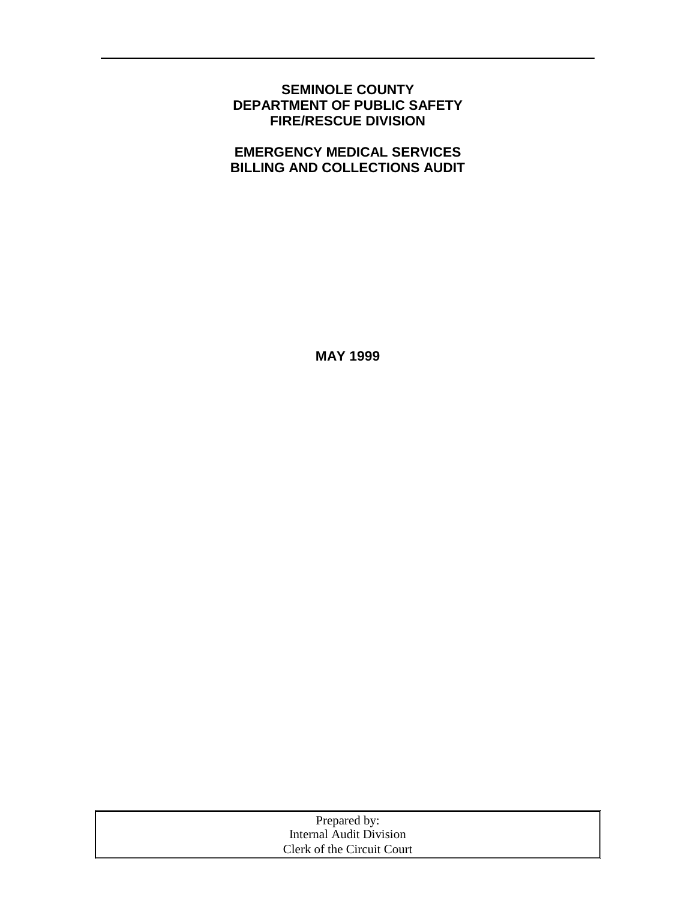## **SEMINOLE COUNTY DEPARTMENT OF PUBLIC SAFETY FIRE/RESCUE DIVISION**

# **EMERGENCY MEDICAL SERVICES BILLING AND COLLECTIONS AUDIT**

**MAY 1999** 

| Prepared by:               |  |
|----------------------------|--|
| Internal Audit Division    |  |
| Clerk of the Circuit Court |  |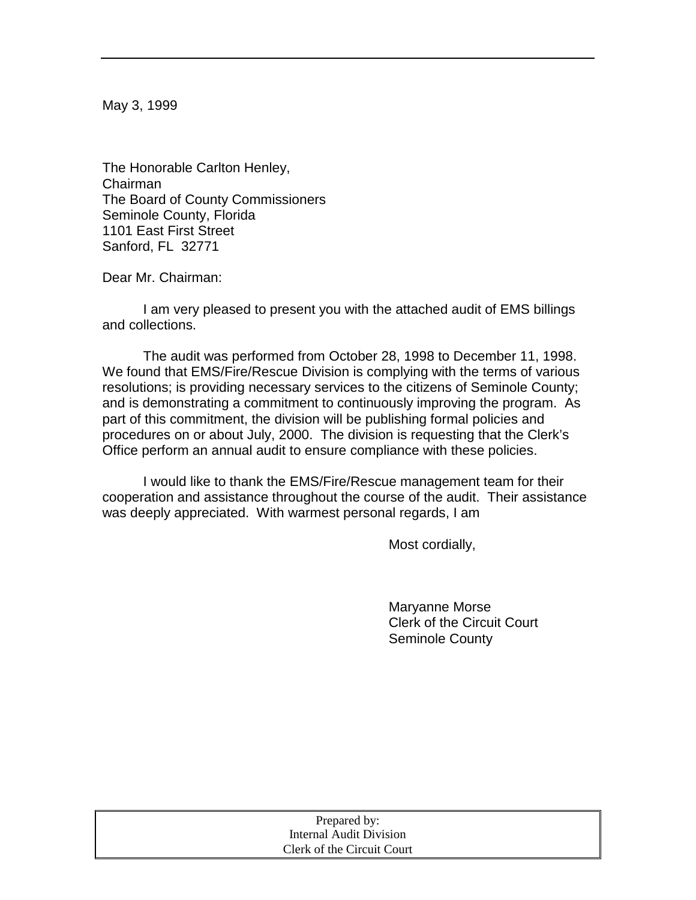May 3, 1999

The Honorable Carlton Henley, Chairman The Board of County Commissioners Seminole County, Florida 1101 East First Street Sanford, FL 32771

Dear Mr. Chairman:

 I am very pleased to present you with the attached audit of EMS billings and collections.

 The audit was performed from October 28, 1998 to December 11, 1998. We found that EMS/Fire/Rescue Division is complying with the terms of various resolutions; is providing necessary services to the citizens of Seminole County; and is demonstrating a commitment to continuously improving the program. As part of this commitment, the division will be publishing formal policies and procedures on or about July, 2000. The division is requesting that the Clerk's Office perform an annual audit to ensure compliance with these policies.

 I would like to thank the EMS/Fire/Rescue management team for their cooperation and assistance throughout the course of the audit. Their assistance was deeply appreciated. With warmest personal regards, I am

Most cordially,

 Maryanne Morse Clerk of the Circuit Court Seminole County

| Prepared by:               |  |
|----------------------------|--|
| Internal Audit Division    |  |
| Clerk of the Circuit Court |  |
|                            |  |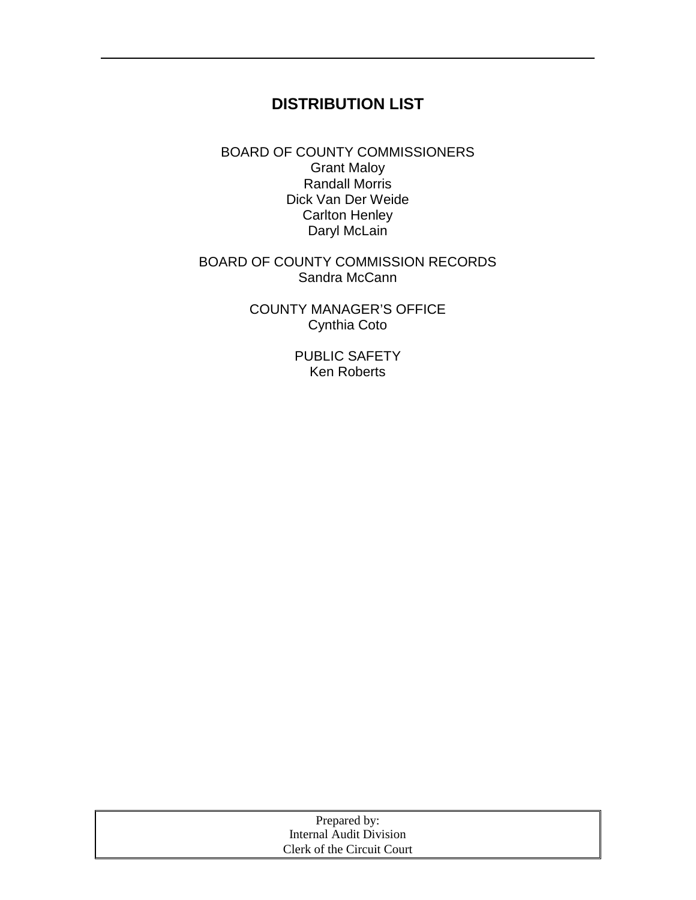# **DISTRIBUTION LIST**

BOARD OF COUNTY COMMISSIONERS Grant Maloy Randall Morris Dick Van Der Weide Carlton Henley Daryl McLain

## BOARD OF COUNTY COMMISSION RECORDS Sandra McCann

COUNTY MANAGER'S OFFICE Cynthia Coto

> PUBLIC SAFETY Ken Roberts

| Prepared by:               |
|----------------------------|
| Internal Audit Division    |
| Clerk of the Circuit Court |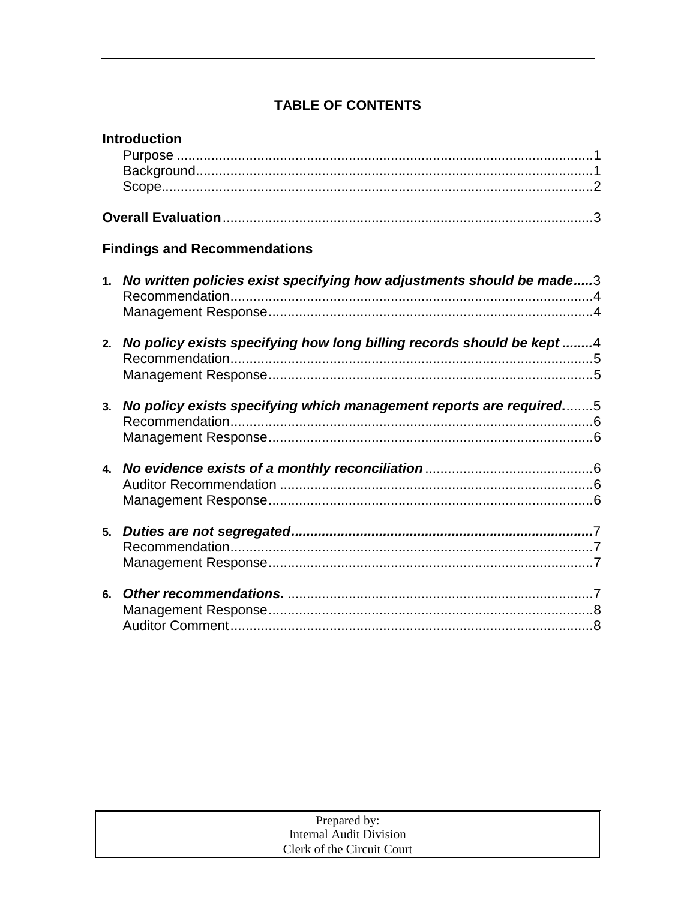# **TABLE OF CONTENTS**

|    | <b>Introduction</b>                                                      |
|----|--------------------------------------------------------------------------|
|    |                                                                          |
|    | <b>Findings and Recommendations</b>                                      |
|    | 1. No written policies exist specifying how adjustments should be made3  |
|    | 2. No policy exists specifying how long billing records should be kept 4 |
|    | 3. No policy exists specifying which management reports are required5    |
|    |                                                                          |
|    |                                                                          |
| 6. |                                                                          |

|                            | Prepared by:            |  |
|----------------------------|-------------------------|--|
|                            | Internal Audit Division |  |
| Clerk of the Circuit Court |                         |  |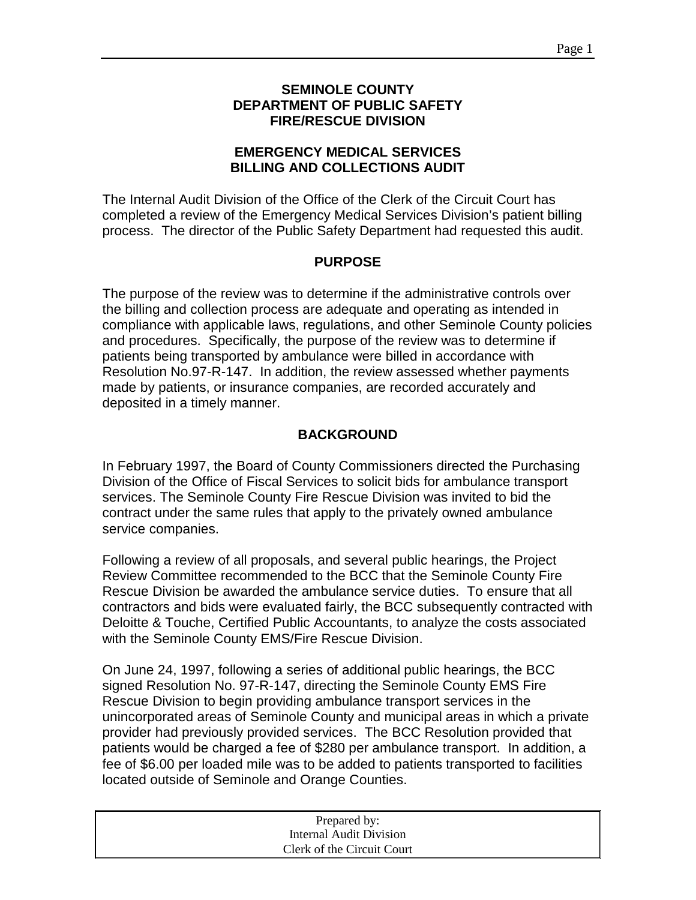## **SEMINOLE COUNTY DEPARTMENT OF PUBLIC SAFETY FIRE/RESCUE DIVISION**

## **EMERGENCY MEDICAL SERVICES BILLING AND COLLECTIONS AUDIT**

The Internal Audit Division of the Office of the Clerk of the Circuit Court has completed a review of the Emergency Medical Services Division's patient billing process. The director of the Public Safety Department had requested this audit.

### **PURPOSE**

The purpose of the review was to determine if the administrative controls over the billing and collection process are adequate and operating as intended in compliance with applicable laws, regulations, and other Seminole County policies and procedures. Specifically, the purpose of the review was to determine if patients being transported by ambulance were billed in accordance with Resolution No.97-R-147. In addition, the review assessed whether payments made by patients, or insurance companies, are recorded accurately and deposited in a timely manner.

## **BACKGROUND**

In February 1997, the Board of County Commissioners directed the Purchasing Division of the Office of Fiscal Services to solicit bids for ambulance transport services. The Seminole County Fire Rescue Division was invited to bid the contract under the same rules that apply to the privately owned ambulance service companies.

Following a review of all proposals, and several public hearings, the Project Review Committee recommended to the BCC that the Seminole County Fire Rescue Division be awarded the ambulance service duties. To ensure that all contractors and bids were evaluated fairly, the BCC subsequently contracted with Deloitte & Touche, Certified Public Accountants, to analyze the costs associated with the Seminole County EMS/Fire Rescue Division.

On June 24, 1997, following a series of additional public hearings, the BCC signed Resolution No. 97-R-147, directing the Seminole County EMS Fire Rescue Division to begin providing ambulance transport services in the unincorporated areas of Seminole County and municipal areas in which a private provider had previously provided services. The BCC Resolution provided that patients would be charged a fee of \$280 per ambulance transport. In addition, a fee of \$6.00 per loaded mile was to be added to patients transported to facilities located outside of Seminole and Orange Counties.

| Prepared by:               |  |
|----------------------------|--|
| Internal Audit Division    |  |
| Clerk of the Circuit Court |  |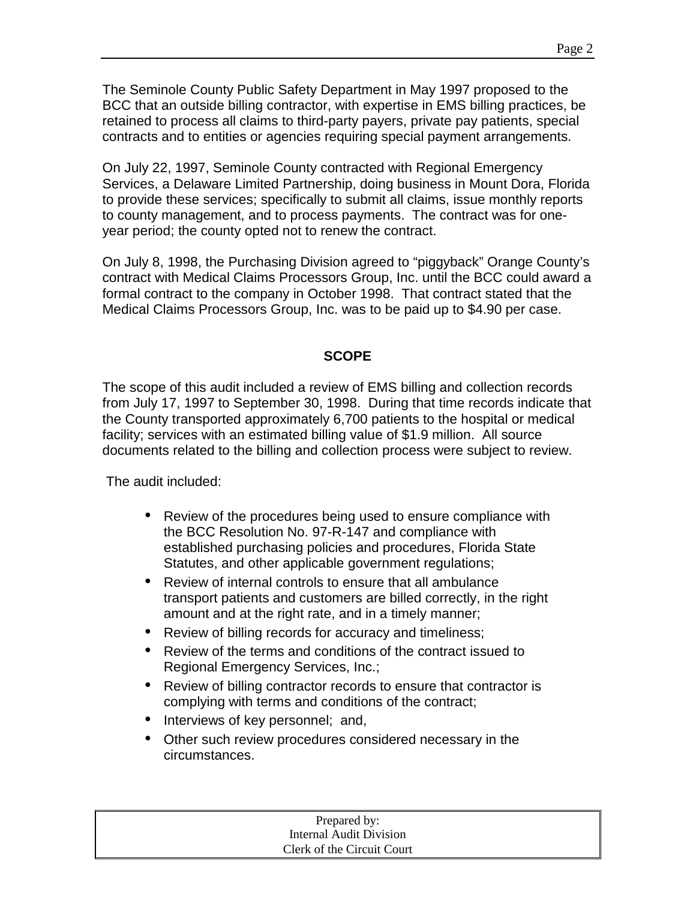The Seminole County Public Safety Department in May 1997 proposed to the BCC that an outside billing contractor, with expertise in EMS billing practices, be retained to process all claims to third-party payers, private pay patients, special contracts and to entities or agencies requiring special payment arrangements.

On July 22, 1997, Seminole County contracted with Regional Emergency Services, a Delaware Limited Partnership, doing business in Mount Dora, Florida to provide these services; specifically to submit all claims, issue monthly reports to county management, and to process payments. The contract was for oneyear period; the county opted not to renew the contract.

On July 8, 1998, the Purchasing Division agreed to "piggyback" Orange County's contract with Medical Claims Processors Group, Inc. until the BCC could award a formal contract to the company in October 1998. That contract stated that the Medical Claims Processors Group, Inc. was to be paid up to \$4.90 per case.

### **SCOPE**

The scope of this audit included a review of EMS billing and collection records from July 17, 1997 to September 30, 1998. During that time records indicate that the County transported approximately 6,700 patients to the hospital or medical facility; services with an estimated billing value of \$1.9 million. All source documents related to the billing and collection process were subject to review.

The audit included:

- Review of the procedures being used to ensure compliance with the BCC Resolution No. 97-R-147 and compliance with established purchasing policies and procedures, Florida State Statutes, and other applicable government regulations;
- Review of internal controls to ensure that all ambulance transport patients and customers are billed correctly, in the right amount and at the right rate, and in a timely manner;
- Review of billing records for accuracy and timeliness;
- Review of the terms and conditions of the contract issued to Regional Emergency Services, Inc.;
- Review of billing contractor records to ensure that contractor is complying with terms and conditions of the contract;
- Interviews of key personnel; and,
- Other such review procedures considered necessary in the circumstances.

| Prepared by:               |  |
|----------------------------|--|
| Internal Audit Division    |  |
| Clerk of the Circuit Court |  |
|                            |  |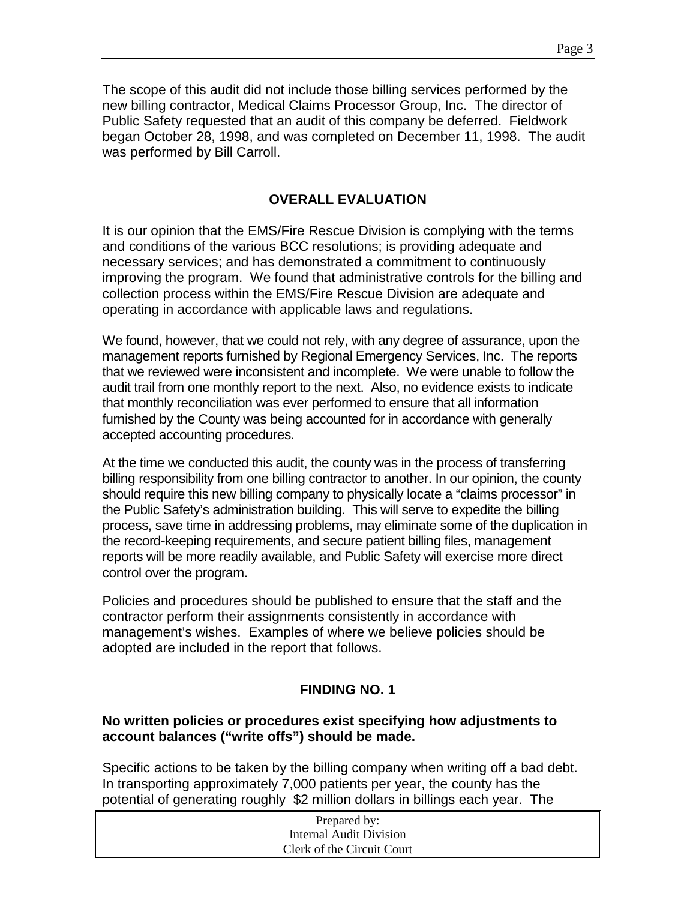The scope of this audit did not include those billing services performed by the new billing contractor, Medical Claims Processor Group, Inc. The director of Public Safety requested that an audit of this company be deferred. Fieldwork began October 28, 1998, and was completed on December 11, 1998. The audit was performed by Bill Carroll.

## **OVERALL EVALUATION**

It is our opinion that the EMS/Fire Rescue Division is complying with the terms and conditions of the various BCC resolutions; is providing adequate and necessary services; and has demonstrated a commitment to continuously improving the program. We found that administrative controls for the billing and collection process within the EMS/Fire Rescue Division are adequate and operating in accordance with applicable laws and regulations.

We found, however, that we could not rely, with any degree of assurance, upon the management reports furnished by Regional Emergency Services, Inc. The reports that we reviewed were inconsistent and incomplete. We were unable to follow the audit trail from one monthly report to the next. Also, no evidence exists to indicate that monthly reconciliation was ever performed to ensure that all information furnished by the County was being accounted for in accordance with generally accepted accounting procedures.

At the time we conducted this audit, the county was in the process of transferring billing responsibility from one billing contractor to another. In our opinion, the county should require this new billing company to physically locate a "claims processor" in the Public Safety's administration building. This will serve to expedite the billing process, save time in addressing problems, may eliminate some of the duplication in the record-keeping requirements, and secure patient billing files, management reports will be more readily available, and Public Safety will exercise more direct control over the program.

Policies and procedures should be published to ensure that the staff and the contractor perform their assignments consistently in accordance with management's wishes. Examples of where we believe policies should be adopted are included in the report that follows.

# **FINDING NO. 1**

### **No written policies or procedures exist specifying how adjustments to account balances ("write offs") should be made.**

Specific actions to be taken by the billing company when writing off a bad debt. In transporting approximately 7,000 patients per year, the county has the potential of generating roughly \$2 million dollars in billings each year. The

| Prepared by:               |  |
|----------------------------|--|
| Internal Audit Division    |  |
| Clerk of the Circuit Court |  |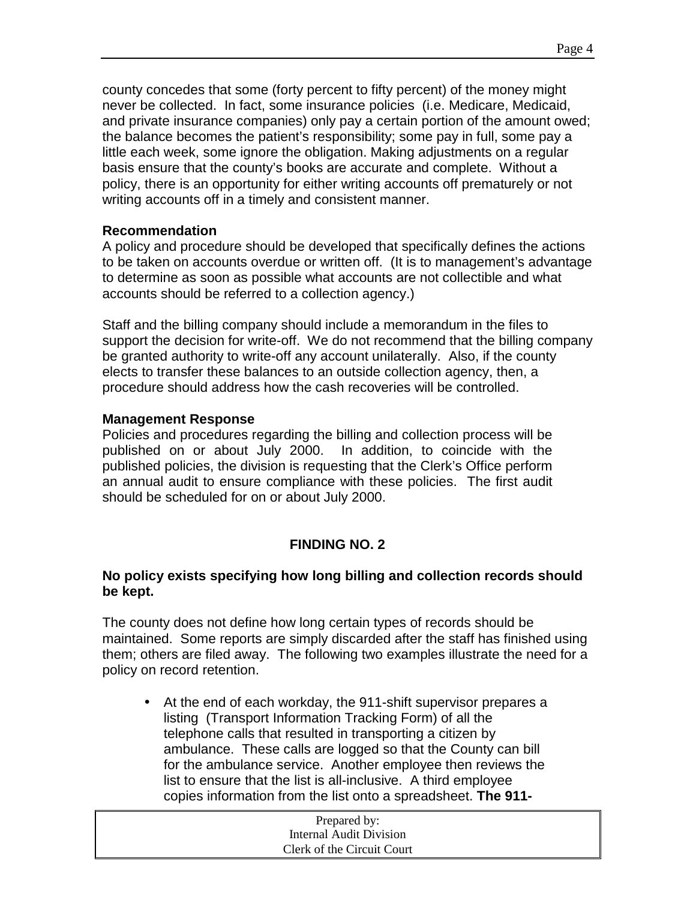county concedes that some (forty percent to fifty percent) of the money might never be collected. In fact, some insurance policies (i.e. Medicare, Medicaid, and private insurance companies) only pay a certain portion of the amount owed; the balance becomes the patient's responsibility; some pay in full, some pay a little each week, some ignore the obligation. Making adjustments on a regular basis ensure that the county's books are accurate and complete. Without a policy, there is an opportunity for either writing accounts off prematurely or not writing accounts off in a timely and consistent manner.

## **Recommendation**

A policy and procedure should be developed that specifically defines the actions to be taken on accounts overdue or written off. (It is to management's advantage to determine as soon as possible what accounts are not collectible and what accounts should be referred to a collection agency.)

Staff and the billing company should include a memorandum in the files to support the decision for write-off. We do not recommend that the billing company be granted authority to write-off any account unilaterally. Also, if the county elects to transfer these balances to an outside collection agency, then, a procedure should address how the cash recoveries will be controlled.

## **Management Response**

Policies and procedures regarding the billing and collection process will be published on or about July 2000. In addition, to coincide with the published policies, the division is requesting that the Clerk's Office perform an annual audit to ensure compliance with these policies. The first audit should be scheduled for on or about July 2000.

# **FINDING NO. 2**

## **No policy exists specifying how long billing and collection records should be kept.**

The county does not define how long certain types of records should be maintained. Some reports are simply discarded after the staff has finished using them; others are filed away. The following two examples illustrate the need for a policy on record retention.

• At the end of each workday, the 911-shift supervisor prepares a listing (Transport Information Tracking Form) of all the telephone calls that resulted in transporting a citizen by ambulance. These calls are logged so that the County can bill for the ambulance service. Another employee then reviews the list to ensure that the list is all-inclusive. A third employee copies information from the list onto a spreadsheet. **The 911-**

| Prepared by:               |  |
|----------------------------|--|
| Internal Audit Division    |  |
| Clerk of the Circuit Court |  |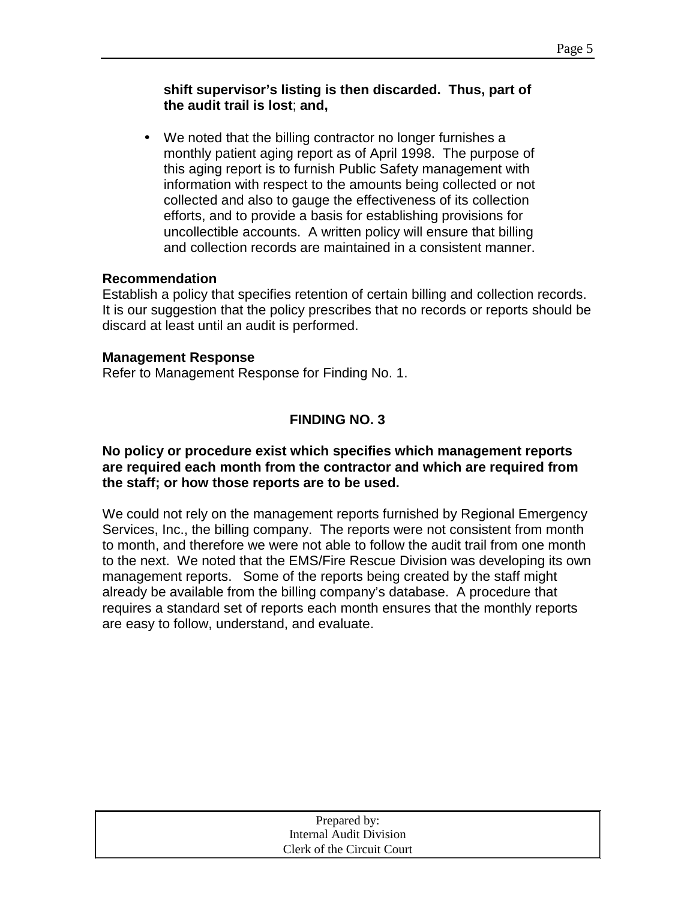## **shift supervisor's listing is then discarded. Thus, part of the audit trail is lost**; **and,**

• We noted that the billing contractor no longer furnishes a monthly patient aging report as of April 1998. The purpose of this aging report is to furnish Public Safety management with information with respect to the amounts being collected or not collected and also to gauge the effectiveness of its collection efforts, and to provide a basis for establishing provisions for uncollectible accounts. A written policy will ensure that billing and collection records are maintained in a consistent manner.

## **Recommendation**

Establish a policy that specifies retention of certain billing and collection records. It is our suggestion that the policy prescribes that no records or reports should be discard at least until an audit is performed.

### **Management Response**

Refer to Management Response for Finding No. 1.

# **FINDING NO. 3**

#### **No policy or procedure exist which specifies which management reports are required each month from the contractor and which are required from the staff; or how those reports are to be used.**

We could not rely on the management reports furnished by Regional Emergency Services, Inc., the billing company. The reports were not consistent from month to month, and therefore we were not able to follow the audit trail from one month to the next. We noted that the EMS/Fire Rescue Division was developing its own management reports. Some of the reports being created by the staff might already be available from the billing company's database. A procedure that requires a standard set of reports each month ensures that the monthly reports are easy to follow, understand, and evaluate.

| Prepared by:               |
|----------------------------|
| Internal Audit Division    |
| Clerk of the Circuit Court |
|                            |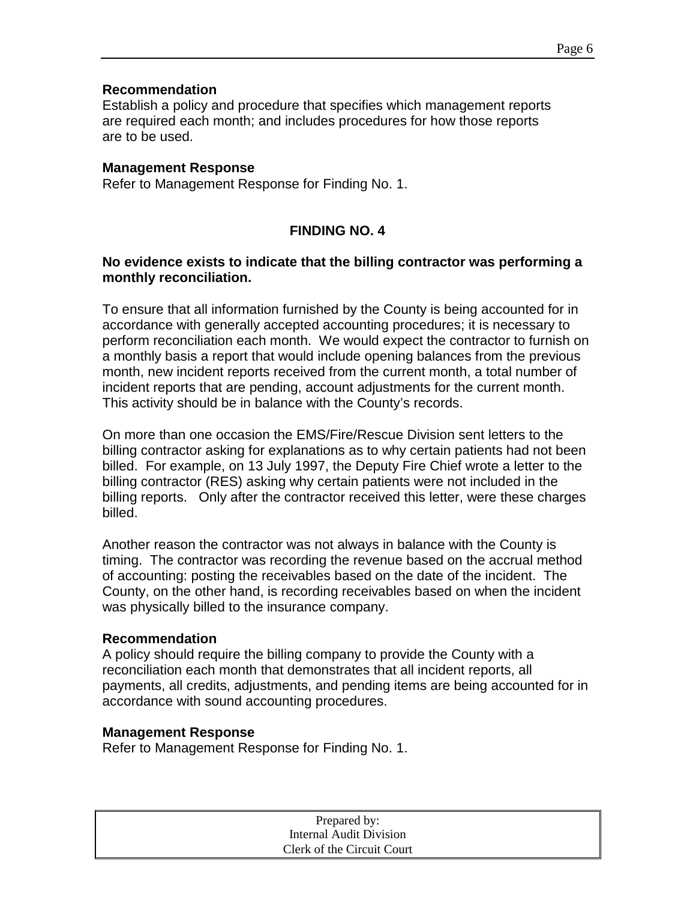#### **Recommendation**

Establish a policy and procedure that specifies which management reports are required each month; and includes procedures for how those reports are to be used.

#### **Management Response**

Refer to Management Response for Finding No. 1.

# **FINDING NO. 4**

#### **No evidence exists to indicate that the billing contractor was performing a monthly reconciliation.**

To ensure that all information furnished by the County is being accounted for in accordance with generally accepted accounting procedures; it is necessary to perform reconciliation each month. We would expect the contractor to furnish on a monthly basis a report that would include opening balances from the previous month, new incident reports received from the current month, a total number of incident reports that are pending, account adjustments for the current month. This activity should be in balance with the County's records.

On more than one occasion the EMS/Fire/Rescue Division sent letters to the billing contractor asking for explanations as to why certain patients had not been billed. For example, on 13 July 1997, the Deputy Fire Chief wrote a letter to the billing contractor (RES) asking why certain patients were not included in the billing reports. Only after the contractor received this letter, were these charges billed.

Another reason the contractor was not always in balance with the County is timing. The contractor was recording the revenue based on the accrual method of accounting: posting the receivables based on the date of the incident. The County, on the other hand, is recording receivables based on when the incident was physically billed to the insurance company.

#### **Recommendation**

A policy should require the billing company to provide the County with a reconciliation each month that demonstrates that all incident reports, all payments, all credits, adjustments, and pending items are being accounted for in accordance with sound accounting procedures.

#### **Management Response**

Refer to Management Response for Finding No. 1.

| Prepared by:               |  |
|----------------------------|--|
| Internal Audit Division    |  |
| Clerk of the Circuit Court |  |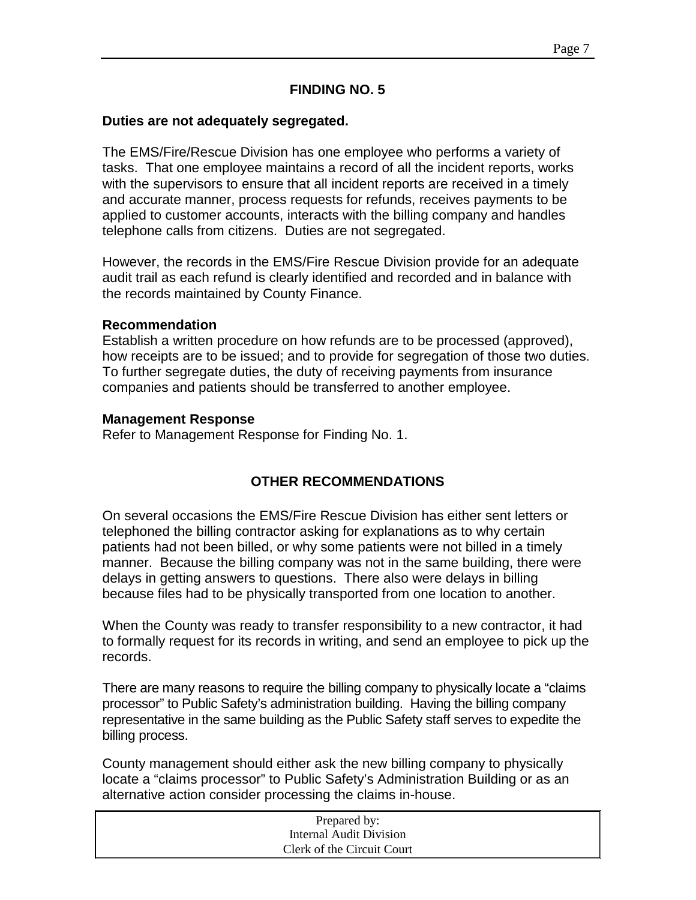#### **FINDING NO. 5**

#### **Duties are not adequately segregated.**

The EMS/Fire/Rescue Division has one employee who performs a variety of tasks. That one employee maintains a record of all the incident reports, works with the supervisors to ensure that all incident reports are received in a timely and accurate manner, process requests for refunds, receives payments to be applied to customer accounts, interacts with the billing company and handles telephone calls from citizens. Duties are not segregated.

However, the records in the EMS/Fire Rescue Division provide for an adequate audit trail as each refund is clearly identified and recorded and in balance with the records maintained by County Finance.

#### **Recommendation**

Establish a written procedure on how refunds are to be processed (approved), how receipts are to be issued; and to provide for segregation of those two duties. To further segregate duties, the duty of receiving payments from insurance companies and patients should be transferred to another employee.

#### **Management Response**

Refer to Management Response for Finding No. 1.

### **OTHER RECOMMENDATIONS**

On several occasions the EMS/Fire Rescue Division has either sent letters or telephoned the billing contractor asking for explanations as to why certain patients had not been billed, or why some patients were not billed in a timely manner. Because the billing company was not in the same building, there were delays in getting answers to questions. There also were delays in billing because files had to be physically transported from one location to another.

When the County was ready to transfer responsibility to a new contractor, it had to formally request for its records in writing, and send an employee to pick up the records.

There are many reasons to require the billing company to physically locate a "claims processor" to Public Safety's administration building. Having the billing company representative in the same building as the Public Safety staff serves to expedite the billing process.

County management should either ask the new billing company to physically locate a "claims processor" to Public Safety's Administration Building or as an alternative action consider processing the claims in-house.

| Prepared by:               |  |
|----------------------------|--|
| Internal Audit Division    |  |
| Clerk of the Circuit Court |  |